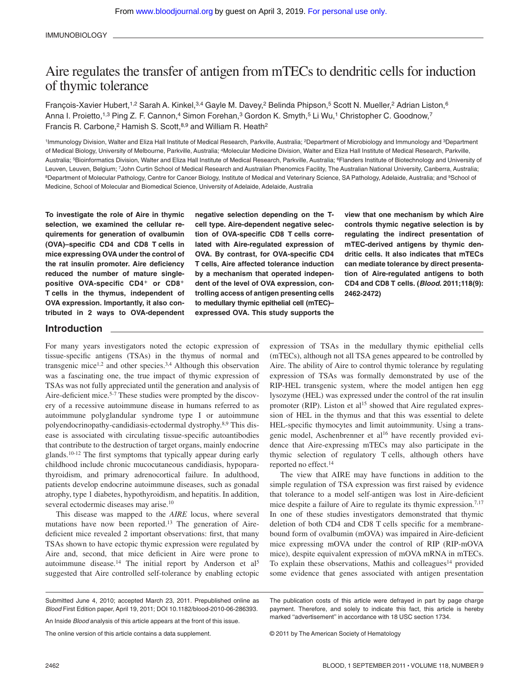# Aire regulates the transfer of antigen from mTECs to dendritic cells for induction of thymic tolerance

François-Xavier Hubert,<sup>1,2</sup> Sarah A. Kinkel,<sup>3,4</sup> Gayle M. Davey,<sup>2</sup> Belinda Phipson,<sup>5</sup> Scott N. Mueller,<sup>2</sup> Adrian Liston,<sup>6</sup> Anna I. Proietto,<sup>1,3</sup> Ping Z. F. Cannon,<sup>4</sup> Simon Forehan,<sup>3</sup> Gordon K. Smyth,<sup>5</sup> Li Wu,<sup>1</sup> Christopher C. Goodnow,<sup>7</sup> Francis R. Carbone,<sup>2</sup> Hamish S. Scott,<sup>8,9</sup> and William R. Heath<sup>2</sup>

<sup>1</sup>Immunology Division, Walter and Eliza Hall Institute of Medical Research, Parkville, Australia; <sup>2</sup>Department of Microbiology and Immunology and <sup>3</sup>Department of Medical Biology, University of Melbourne, Parkville, Australia; 4Molecular Medicine Division, Walter and Eliza Hall Institute of Medical Research, Parkville, Australia; 5Bioinformatics Division, Walter and Eliza Hall Institute of Medical Research, Parkville, Australia; 6Flanders Institute of Biotechnology and University of Leuven, Leuven, Belgium; 7John Curtin School of Medical Research and Australian Phenomics Facility, The Australian National University, Canberra, Australia; 8Department of Molecular Pathology, Centre for Cancer Biology, Institute of Medical and Veterinary Science, SA Pathology, Adelaide, Australia; and 9School of Medicine, School of Molecular and Biomedical Science, University of Adelaide, Adelaide, Australia

**To investigate the role of Aire in thymic selection, we examined the cellular requirements for generation of ovalbumin (OVA)–specific CD4 and CD8 T cells in mice expressing OVA under the control of the rat insulin promoter. Aire deficiency reduced the number of mature singlepositive OVA-specific CD4<sup>+</sup> or CD8<sup>+</sup> T cells in the thymus, independent of OVA expression. Importantly, it also contributed in 2 ways to OVA-dependent**

**negative selection depending on the Tcell type. Aire-dependent negative selection of OVA-specific CD8 T cells correlated with Aire-regulated expression of OVA. By contrast, for OVA-specific CD4 T cells, Aire affected tolerance induction by a mechanism that operated independent of the level of OVA expression, controlling access of antigen presenting cells to medullary thymic epithelial cell (mTEC)– expressed OVA. This study supports the**

**view that one mechanism by which Aire controls thymic negative selection is by regulating the indirect presentation of mTEC-derived antigens by thymic dendritic cells. It also indicates that mTECs can mediate tolerance by direct presentation of Aire-regulated antigens to both CD4 and CD8 T cells. (***Blood***. 2011;118(9): 2462-2472)**

## **Introduction**

For many years investigators noted the ectopic expression of tissue-specific antigens (TSAs) in the thymus of normal and transgenic mice<sup>1,2</sup> and other species.<sup>3,4</sup> Although this observation was a fascinating one, the true impact of thymic expression of TSAs was not fully appreciated until the generation and analysis of Aire-deficient mice.<sup>5-7</sup> These studies were prompted by the discovery of a recessive autoimmune disease in humans referred to as autoimmune polyglandular syndrome type I or autoimmune polyendocrinopathy-candidiasis-ectodermal dystrophy.8,9 This disease is associated with circulating tissue-specific autoantibodies that contribute to the destruction of target organs, mainly endocrine glands.<sup>10-12</sup> The first symptoms that typically appear during early childhood include chronic mucocutaneous candidiasis, hypoparathyroidism, and primary adrenocortical failure. In adulthood, patients develop endocrine autoimmune diseases, such as gonadal atrophy, type 1 diabetes, hypothyroidism, and hepatitis. In addition, several ectodermic diseases may arise.<sup>10</sup>

This disease was mapped to the *AIRE* locus, where several mutations have now been reported.13 The generation of Airedeficient mice revealed 2 important observations: first, that many TSAs shown to have ectopic thymic expression were regulated by Aire and, second, that mice deficient in Aire were prone to autoimmune disease.<sup>14</sup> The initial report by Anderson et al<sup>5</sup> suggested that Aire controlled self-tolerance by enabling ectopic expression of TSAs in the medullary thymic epithelial cells (mTECs), although not all TSA genes appeared to be controlled by Aire. The ability of Aire to control thymic tolerance by regulating expression of TSAs was formally demonstrated by use of the RIP-HEL transgenic system, where the model antigen hen egg lysozyme (HEL) was expressed under the control of the rat insulin promoter (RIP). Liston et al<sup>15</sup> showed that Aire regulated expression of HEL in the thymus and that this was essential to delete HEL-specific thymocytes and limit autoimmunity. Using a transgenic model, Aschenbrenner et al<sup>16</sup> have recently provided evidence that Aire-expressing mTECs may also participate in the thymic selection of regulatory T cells, although others have reported no effect.14

The view that AIRE may have functions in addition to the simple regulation of TSA expression was first raised by evidence that tolerance to a model self-antigen was lost in Aire-deficient mice despite a failure of Aire to regulate its thymic expression.<sup>7,17</sup> In one of these studies investigators demonstrated that thymic deletion of both CD4 and CD8 T cells specific for a membranebound form of ovalbumin (mOVA) was impaired in Aire-deficient mice expressing mOVA under the control of RIP (RIP-mOVA mice), despite equivalent expression of mOVA mRNA in mTECs. To explain these observations, Mathis and colleagues<sup>14</sup> provided some evidence that genes associated with antigen presentation

The online version of this article contains a data supplement.

The publication costs of this article were defrayed in part by page charge payment. Therefore, and solely to indicate this fact, this article is hereby marked ''advertisement'' in accordance with 18 USC section 1734.

© 2011 by The American Society of Hematology

Submitted June 4, 2010; accepted March 23, 2011. Prepublished online as *Blood* First Edition paper, April 19, 2011; DOI 10.1182/blood-2010-06-286393.

An Inside *Blood* analysis of this article appears at the front of this issue.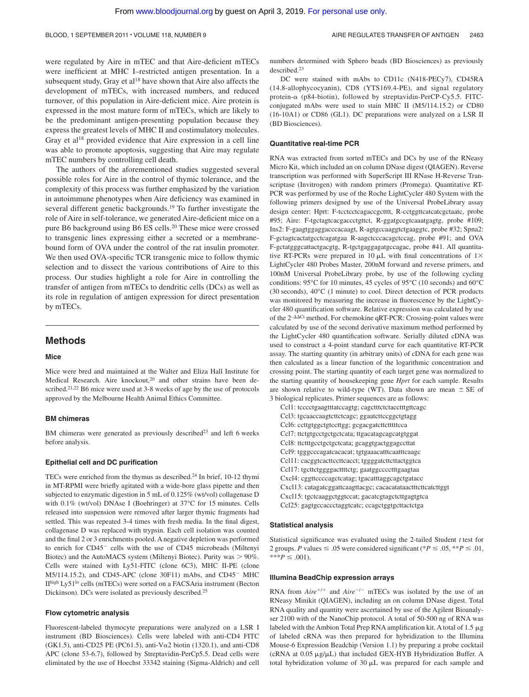were regulated by Aire in mTEC and that Aire-deficient mTECs were inefficient at MHC I–restricted antigen presentation. In a subsequent study, Gray et al<sup>18</sup> have shown that Aire also affects the development of mTECs, with increased numbers, and reduced turnover, of this population in Aire-deficient mice. Aire protein is expressed in the most mature form of mTECs, which are likely to be the predominant antigen-presenting population because they express the greatest levels of MHC II and costimulatory molecules. Gray et al<sup>18</sup> provided evidence that Aire expression in a cell line was able to promote apoptosis, suggesting that Aire may regulate mTEC numbers by controlling cell death.

The authors of the aforementioned studies suggested several possible roles for Aire in the control of thymic tolerance, and the complexity of this process was further emphasized by the variation in autoimmune phenotypes when Aire deficiency was examined in several different genetic backgrounds.<sup>19</sup> To further investigate the role of Aire in self-tolerance, we generated Aire-deficient mice on a pure B6 background using B6 ES cells.<sup>20</sup> These mice were crossed to transgenic lines expressing either a secreted or a membranebound form of OVA under the control of the rat insulin promoter. We then used OVA-specific TCR transgenic mice to follow thymic selection and to dissect the various contributions of Aire to this process. Our studies highlight a role for Aire in controlling the transfer of antigen from mTECs to dendritic cells (DCs) as well as its role in regulation of antigen expression for direct presentation by mTECs.

## **Methods**

#### **Mice**

Mice were bred and maintained at the Walter and Eliza Hall Institute for Medical Research. Aire knockout,<sup>20</sup> and other strains have been described.<sup>21,22</sup> B6 mice were used at 3-8 weeks of age by the use of protocols approved by the Melbourne Health Animal Ethics Committee.

#### **BM chimeras**

BM chimeras were generated as previously described<sup>23</sup> and left 6 weeks before analysis.

#### **Epithelial cell and DC purification**

TECs were enriched from the thymus as described.24 In brief, 10-12 thymi in MT-RPMI were briefly agitated with a wide-bore glass pipette and then subjected to enzymatic digestion in 5 mL of 0.125% (wt/vol) collagenase D with 0.1% (wt/vol) DNAse I (Boehringer) at 37°C for 15 minutes. Cells released into suspension were removed after larger thymic fragments had settled. This was repeated 3-4 times with fresh media. In the final digest, collagenase D was replaced with trypsin. Each cell isolation was counted and the final 2 or 3 enrichments pooled. A negative depletion was performed to enrich for CD45<sup>-</sup> cells with the use of CD45 microbeads (Miltenyi Biotec) and the AutoMACS system (Miltenyi Biotec). Purity was  $> 90\%$ . Cells were stained with Ly51-FITC (clone 6C3), MHC II-PE (clone M5/114.15.2), and CD45-APC (clone 30F11) mAbs, and CD45<sup>-</sup> MHC IIhigh Ly51<sup>lo</sup> cells (mTECs) were sorted on a FACSAria instrument (Becton Dickinson). DCs were isolated as previously described.25

#### **Flow cytometric analysis**

Fluorescent-labeled thymocyte preparations were analyzed on a LSR I instrument (BD Biosciences). Cells were labeled with anti-CD4 FITC (GK1.5), anti-CD25 PE (PC61.5), anti-V $\alpha$ 2 biotin (1320.1), and anti-CD8 APC (clone 53-6.7), followed by Streptavidin-PerCp5.5. Dead cells were eliminated by the use of Hoechst 33342 staining (Sigma-Aldrich) and cell

numbers determined with Sphero beads (BD Biosciences) as previously described.23

DC were stained with mAbs to CD11c (N418-PECy7), CD45RA (14.8-allophycocyanin), CD8 (YTS169.4-PE), and signal regulatory protein- $\alpha$  (p84-biotin), followed by streptavidin-PerCP-Cy5.5. FITCconjugated mAbs were used to stain MHC II (M5/114.15.2) or CD80 (16-10A1) or CD86 (GL1). DC preparations were analyzed on a LSR II (BD Biosciences).

#### **Quantitative real-time PCR**

RNA was extracted from sorted mTECs and DCs by use of the RNeasy Micro Kit, which included an on column DNase digest (QIAGEN). Reverse transcription was performed with SuperScript III RNase H-Reverse Transcriptase (Invitrogen) with random primers (Promega). Quantitative RT-PCR was performed by use of the Roche LightCycler 480 System with the following primers designed by use of the Universal ProbeLibrary assay design center: Hprt: F-tcctcctcagaccgctttt, R-cctggttcatcatcgctaatc, probe #95; Aire: F-tgctagtcacgaccctgttct, R-ggatgccgtcaaatgagtg, probe #109; Ins2: F-gaagtggaggacccacaagt, R-agtgccaaggtctgaaggtc, probe #32; Spna2: F-gctagtcactatgcctcagatgaa R-aagctcccacagctccag, probe #91; and OVA F-gctatgggcattactgacgtg, R-tgctgaggagatgccagac, probe #41. All quantitative RT-PCRs were prepared in 10  $\mu$ L with final concentrations of 1 $\times$ LightCycler 480 Probes Master, 200nM forward and reverse primers, and 100nM Universal ProbeLibrary probe, by use of the following cycling conditions: 95°C for 10 minutes, 45 cycles of 95°C (10 seconds) and 60°C (30 seconds), 40°C (1 minute) to cool. Direct detection of PCR products was monitored by measuring the increase in fluorescence by the LightCycler 480 quantification software. Relative expression was calculated by use of the  $2$ - $\Delta\Delta$ Ct method. For chemokine qRT-PCR: Crossing-point values were calculated by use of the second derivative maximum method performed by the LightCycler 480 quantification software. Serially diluted cDNA was used to construct a 4-point standard curve for each quantitative RT-PCR assay. The starting quantity (in arbitrary units) of cDNA for each gene was then calculated as a linear function of the logarithmic concentration and crossing point. The starting quantity of each target gene was normalized to the starting quantity of housekeeping gene *Hprt* for each sample. Results are shown relative to wild-type (WT). Data shown are mean  $\pm$  SE of 3 biological replicates. Primer sequences are as follows:

Ccl1: tcccctgaagtttatccagtg; cagctttctctacctttgttcagc Ccl3: tgcaaccaagtcttctcagc; ggaatcttccggctgtagg Ccl6: ccttgtggctgtccttgg; gcgacgatcttctttttcca Ccl7: ttctgtgcctgctgctcata; ttgacatagcagcatgtggat Ccl8: ttctttgcctgctgctcata; gcaggtgactggagccttat Ccl9: tgggcccagatcacacat; tgtgaaacatttcaatttcaagc Ccl11: cacggtcacttccttcacct; tggggatcttcttactggtca Ccl17: tgcttctggggacttttctg; gaatggcccctttgaagtaa Cxcl4: cggttccccagctcatag; tgacatttaggcagctgatacc Cxcl13: catagatcggattcaagttacgc; cacacatataactttcttcatcttggt Cxcl15: tgctcaaggctggtccat; gacatcgtagctcttgagtgtca Ccl25: gagtgccaccctaggtcatc; ccagctggtgcttactctga

#### **Statistical analysis**

Statistical significance was evaluated using the 2-tailed Student *t* test for 2 groups. *P* values  $\leq .05$  were considered significant (\**P*  $\leq .05$ , \*\**P*  $\leq .01$ ,  $***P \leq .001$ ).

#### **Illumina BeadChip expression arrays**

RNA from  $Aire^{+/+}$  and  $Aire^{-/-}$  mTECs was isolated by the use of an RNeasy Minikit (QIAGEN), including an on column DNase digest. Total RNA quality and quantity were ascertained by use of the Agilent Bioanalyser 2100 with of the NanoChip protocol. A total of 50-500 ng of RNA was labeled with the Ambion Total Prep RNA amplification kit. A total of 1.5  $\mu$ g of labeled cRNA was then prepared for hybridization to the Illumina Mouse-6 Expression Beadchip (Version 1.1) by preparing a probe cocktail (cRNA at  $0.05 \mu g/\mu L$ ) that included GEX-HYB Hybridization Buffer. A total hybridization volume of  $30 \mu L$  was prepared for each sample and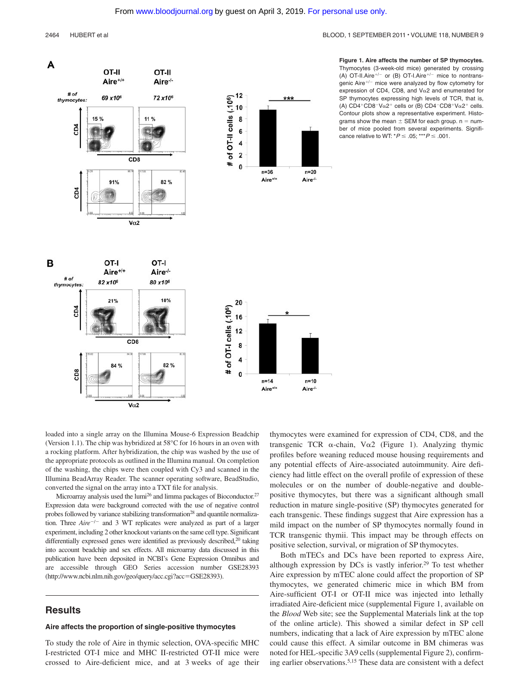#### 2464 HUBERT et al BLOOD, 1 SEPTEMBER 2011 • VOLUME 118, NUMBER 9



**Figure 1. Aire affects the number of SP thymocytes.** Thymocytes (3-week-old mice) generated by crossing (A) OT-II.Aire<sup>+/-</sup> or (B) OT-I.Aire<sup>+/-</sup> mice to nontransgenic Aire $^{+/-}$  mice were analyzed by flow cytometry for expression of CD4, CD8, and  $V<sub>\alpha</sub>$  2 and enumerated for SP thymocytes expressing high levels of TCR, that is, (A)  $CD4^+CD8^-V\alpha2^+$  cells or (B)  $CD4^-CD8^+V\alpha2^+$  cells. Contour plots show a representative experiment. Histograms show the mean  $\pm$  SEM for each group. n = number of mice pooled from several experiments. Significance relative to WT:  $^{\ast}P \le .05$ : \*\*\* $P \le .001$ .

loaded into a single array on the Illumina Mouse-6 Expression Beadchip (Version 1.1). The chip was hybridized at 58°C for 16 hours in an oven with a rocking platform. After hybridization, the chip was washed by the use of the appropriate protocols as outlined in the Illumina manual. On completion of the washing, the chips were then coupled with Cy3 and scanned in the Illumina BeadArray Reader. The scanner operating software, BeadStudio, converted the signal on the array into a TXT file for analysis.

Microarray analysis used the lumi<sup>26</sup> and limma packages of Bioconductor.<sup>27</sup> Expression data were background corrected with the use of negative control probes followed by variance stabilizing transformation<sup>28</sup> and quantile normalization. Three *Aire<sup>-/-</sup>* and 3 WT replicates were analyzed as part of a larger experiment, including 2 other knockout variants on the same cell type. Significant differentially expressed genes were identified as previously described,<sup>20</sup> taking into account beadchip and sex effects. All microarray data discussed in this publication have been deposited in NCBI's Gene Expression Omnibus and are accessible through GEO Series accession number GSE28393 (http://www.ncbi.nlm.nih.gov/geo/query/acc.cgi?acc=GSE28393).

## **Results**

#### **Aire affects the proportion of single-positive thymocytes**

To study the role of Aire in thymic selection, OVA-specific MHC I-restricted OT-I mice and MHC II-restricted OT-II mice were crossed to Aire-deficient mice, and at 3 weeks of age their thymocytes were examined for expression of CD4, CD8, and the transgenic TCR  $\alpha$ -chain, V $\alpha$ 2 (Figure 1). Analyzing thymic profiles before weaning reduced mouse housing requirements and any potential effects of Aire-associated autoimmunity. Aire deficiency had little effect on the overall profile of expression of these molecules or on the number of double-negative and doublepositive thymocytes, but there was a significant although small reduction in mature single-positive (SP) thymocytes generated for each transgenic. These findings suggest that Aire expression has a mild impact on the number of SP thymocytes normally found in TCR transgenic thymii. This impact may be through effects on positive selection, survival, or migration of SP thymocytes.

Both mTECs and DCs have been reported to express Aire, although expression by DCs is vastly inferior.29 To test whether Aire expression by mTEC alone could affect the proportion of SP thymocytes, we generated chimeric mice in which BM from Aire-sufficient OT-I or OT-II mice was injected into lethally irradiated Aire-deficient mice (supplemental Figure 1, available on the *Blood* Web site; see the Supplemental Materials link at the top of the online article). This showed a similar defect in SP cell numbers, indicating that a lack of Aire expression by mTEC alone could cause this effect. A similar outcome in BM chimeras was noted for HEL-specific 3A9 cells (supplemental Figure 2), confirming earlier observations.5,15 These data are consistent with a defect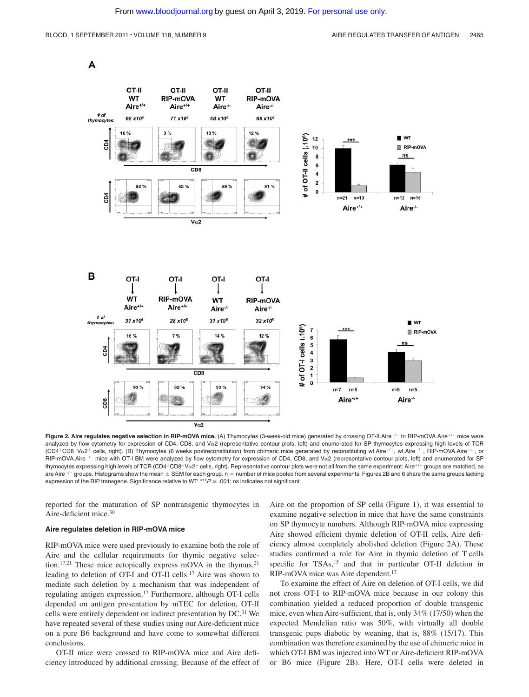A



Figure 2. Aire regulates negative selection in RIP-mOVA mice. (A) Thymocytes (3-week-old mice) generated by crossing OT-II.Aire<sup>+/-</sup> to RIP-mOVA.Aire<sup>+/-</sup> mice were analyzed by flow cytometry for expression of CD4, CD8, and V $\alpha$ 2 (representative contour plots, left) and enumerated for SP thymocytes expressing high levels of TCR (CD4+CD8-V $\alpha$ 2+ cells, right). (B) Thymocytes (6 weeks postreconstitution) from chimeric mice generated by reconstituting wt.Aire+/+, wt.Aire-/-, RIP-mOVA.Aire+/+, or  $RIP-mOVA$ . Aire<sup>-/-</sup> mice with OT-I BM were analyzed by flow cytometry for expression of CD4, CD8, and V $\alpha$ 2 (representative contour plots, left) and enumerated for SP thymocytes expressing high levels of TCR (CD4-CD8+Va2+ cells, right). Representative contour plots were not all from the same experiment: Aire+/+ groups are matched, as are Aire $-/-$  groups. Histograms show the mean  $\pm$  SEM for each group. n = number of mice pooled from several experiments. Figures 2B and 6 share the same groups lacking expression of the RIP transgene. Significance relative to WT: \*\*\* $P \leq .001$ ; ns indicates not significant.

reported for the maturation of SP nontransgenic thymocytes in Aire-deficient mice.30

#### **Aire regulates deletion in RIP-mOVA mice**

RIP-mOVA mice were used previously to examine both the role of Aire and the cellular requirements for thymic negative selection.<sup>17,21</sup> These mice ectopically express mOVA in the thymus, $2<sup>1</sup>$ leading to deletion of OT-I and OT-II cells.17 Aire was shown to mediate such deletion by a mechanism that was independent of regulating antigen expression.17 Furthermore, although OT-I cells depended on antigen presentation by mTEC for deletion, OT-II cells were entirely dependent on indirect presentation by DC.<sup>31</sup> We have repeated several of these studies using our Aire-deficient mice on a pure B6 background and have come to somewhat different conclusions.

OT-II mice were crossed to RIP-mOVA mice and Aire deficiency introduced by additional crossing. Because of the effect of

Aire on the proportion of SP cells (Figure 1), it was essential to examine negative selection in mice that have the same constraints on SP thymocyte numbers. Although RIP-mOVA mice expressing Aire showed efficient thymic deletion of OT-II cells, Aire deficiency almost completely abolished deletion (Figure 2A). These studies confirmed a role for Aire in thymic deletion of T cells specific for TSAs,<sup>15</sup> and that in particular OT-II deletion in RIP-mOVA mice was Aire dependent.<sup>17</sup>

To examine the effect of Aire on deletion of OT-I cells, we did not cross OT-I to RIP-mOVA mice because in our colony this combination yielded a reduced proportion of double transgenic mice, even when Aire-sufficient, that is, only 34% (17/50) when the expected Mendelian ratio was 50%, with virtually all double transgenic pups diabetic by weaning, that is, 88% (15/17). This combination was therefore examined by the use of chimeric mice in which OT-I BM was injected into WT or Aire-deficient RIP-mOVA or B6 mice (Figure 2B). Here, OT-I cells were deleted in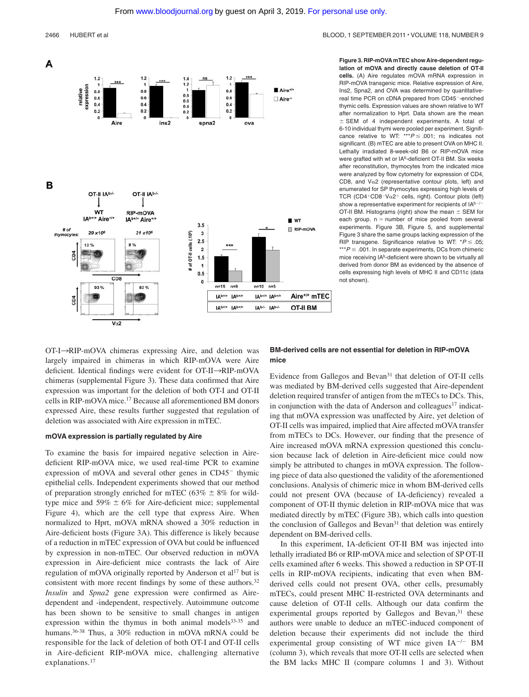

**Figure 3. RIP-mOVA mTEC show Aire-dependent regulation of mOVA and directly cause deletion of OT-II cells.** (A) Aire regulates mOVA mRNA expression in RIP-mOVA transgenic mice. Relative expression of Aire, Ins2, Spna2, and OVA was determined by quantitativereal time PCR on cDNA prepared from CD45-enriched thymic cells. Expression values are shown relative to WT after normalization to Hprt. Data shown are the mean  $\pm$  SEM of 4 independent experiments. A total of 6-10 individual thymi were pooled per experiment. Significance relative to WT: \*\*\* $P \leq .001$ : ns indicates not significant. (B) mTEC are able to present OVA on MHC II. Lethally irradiated 8-week-old B6 or RIP-mOVA mice were grafted with wt or IAb-deficient OT-II BM. Six weeks after reconstitution, thymocytes from the indicated mice were analyzed by flow cytometry for expression of CD4, CD8, and  $V\alpha$ 2 (representative contour plots, left) and enumerated for SP thymocytes expressing high levels of TCR (CD4+CD8-V $\alpha$ 2+ cells, right). Contour plots (left) show a representative experiment for recipients of  $IA^{b-1}$ OT-II BM. Histograms (right) show the mean  $\pm$  SEM for each group.  $n =$  number of mice pooled from several experiments. Figure 3B, Figure 5, and supplemental Figure 3 share the same groups lacking expression of the RIP transgene. Significance relative to WT:  $*P \le .05$ : \*\*\**P*  $\leq$  .001. In separate experiments, DCs from chimeric mice receiving IAb-deficient were shown to be virtually all derived from donor BM as evidenced by the absence of cells expressing high levels of MHC II and CD11c (data not shown).

 $OT-I \rightarrow RIP-mOVA$  chimeras expressing Aire, and deletion was largely impaired in chimeras in which RIP-mOVA were Aire deficient. Identical findings were evident for OT-II->RIP-mOVA chimeras (supplemental Figure 3). These data confirmed that Aire expression was important for the deletion of both OT-I and OT-II cells in RIP-mOVA mice.17 Because all aforementioned BM donors expressed Aire, these results further suggested that regulation of deletion was associated with Aire expression in mTEC.

#### **mOVA expression is partially regulated by Aire**

To examine the basis for impaired negative selection in Airedeficient RIP-mOVA mice, we used real-time PCR to examine expression of mOVA and several other genes in  $CD45^-$  thymic epithelial cells. Independent experiments showed that our method of preparation strongly enriched for mTEC (63%  $\pm$  8% for wildtype mice and  $59\% \pm 6\%$  for Aire-deficient mice; supplemental Figure 4), which are the cell type that express Aire. When normalized to Hprt, mOVA mRNA showed a 30% reduction in Aire-deficient hosts (Figure 3A). This difference is likely because of a reduction in mTEC expression of OVA but could be influenced by expression in non-mTEC. Our observed reduction in mOVA expression in Aire-deficient mice contrasts the lack of Aire regulation of mOVA originally reported by Anderson et al<sup>17</sup> but is consistent with more recent findings by some of these authors.<sup>32</sup> *Insulin* and *Spna2* gene expression were confirmed as Airedependent and -independent, respectively. Autoimmune outcome has been shown to be sensitive to small changes in antigen expression within the thymus in both animal models $33-35$  and humans.36-38 Thus, a 30% reduction in mOVA mRNA could be responsible for the lack of deletion of both OT-I and OT-II cells in Aire-deficient RIP-mOVA mice, challenging alternative explanations.<sup>17</sup>

## **BM-derived cells are not essential for deletion in RIP-mOVA mice**

Evidence from Gallegos and Bevan<sup>31</sup> that deletion of OT-II cells was mediated by BM-derived cells suggested that Aire-dependent deletion required transfer of antigen from the mTECs to DCs. This, in conjunction with the data of Anderson and colleagues<sup>17</sup> indicating that mOVA expression was unaffected by Aire, yet deletion of OT-II cells was impaired, implied that Aire affected mOVA transfer from mTECs to DCs. However, our finding that the presence of Aire increased mOVA mRNA expression questioned this conclusion because lack of deletion in Aire-deficient mice could now simply be attributed to changes in mOVA expression. The following piece of data also questioned the validity of the aforementioned conclusions. Analysis of chimeric mice in whom BM-derived cells could not present OVA (because of IA-deficiency) revealed a component of OT-II thymic deletion in RIP-mOVA mice that was mediated directly by mTEC (Figure 3B), which calls into question the conclusion of Gallegos and Bevan<sup>31</sup> that deletion was entirely dependent on BM-derived cells.

In this experiment, IA-deficient OT-II BM was injected into lethally irradiated B6 or RIP-mOVA mice and selection of SP OT-II cells examined after 6 weeks. This showed a reduction in SP OT-II cells in RIP-mOVA recipients, indicating that even when BMderived cells could not present OVA, other cells, presumably mTECs, could present MHC II-restricted OVA determinants and cause deletion of OT-II cells. Although our data confirm the experimental groups reported by Gallegos and Bevan,<sup>31</sup> these authors were unable to deduce an mTEC-induced component of deletion because their experiments did not include the third experimental group consisting of WT mice given  $IA^{-/-}$  BM (column 3), which reveals that more OT-II cells are selected when the BM lacks MHC II (compare columns 1 and 3). Without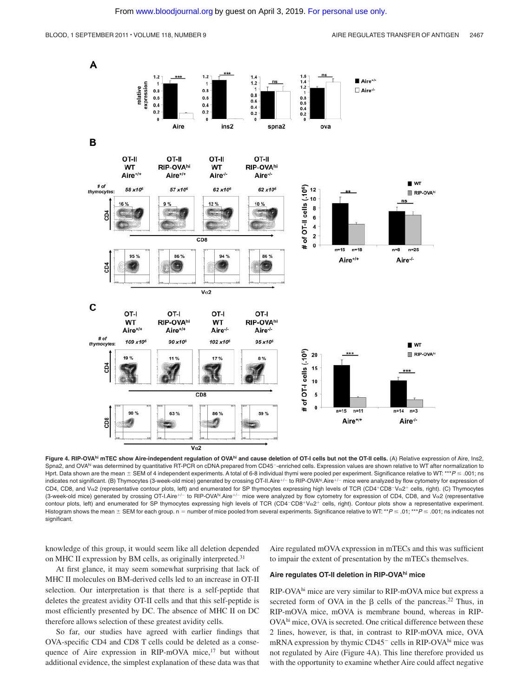

Figure 4. RIP-OVA<sup>hi</sup> mTEC show Aire-independent regulation of OVA<sup>hi</sup> and cause deletion of OT-I cells but not the OT-II cells. (A) Relative expression of Aire, Ins2, Spna2, and OVA<sup>hi</sup> was determined by quantitative RT-PCR on cDNA prepared from CD45<sup>-</sup>-enriched cells. Expression values are shown relative to WT after normalization to Hprt. Data shown are the mean  $\pm$  SEM of 4 independent experiments. A total of 6-8 individual thymi were pooled per experiment. Significance relative to WT: \*\*\*  $P \le 0.01$ ; ns indicates not significant. (B) Thymocytes (3-week-old mice) generated by crossing OT-II.Aire<sup>+/-</sup> to RIP-OVA<sup>hi</sup>.Aire<sup>+/-</sup> mice were analyzed by flow cytometry for expression of CD4, CD8, and V $\alpha$ 2 (representative contour plots, left) and enumerated for SP thymocytes expressing high levels of TCR (CD4+CD8-V $\alpha$ 2+ cells, right). (C) Thymocytes (3-week-old mice) generated by crossing OT-I.Aire<sup>+/-</sup> to RIP-OVA<sup>hi</sup>.Aire<sup>+/-</sup> mice were analyzed by flow cytometry for expression of CD4, CD8, and Va2 (representative contour plots, left) and enumerated for SP thymocytes expressing high levels of TCR (CD4-CD8+V $\alpha$ 2+ cells, right). Contour plots show a representative experiment. Histogram shows the mean  $\pm$  SEM for each group. n = number of mice pooled from several experiments. Significance relative to WT: \*\**P*  $\leq$  .01; \*\*\**P*  $\leq$  .001; ns indicates not significant.

knowledge of this group, it would seem like all deletion depended on MHC II expression by BM cells, as originally interpreted.<sup>31</sup>

Aire regulated mOVA expression in mTECs and this was sufficient to impair the extent of presentation by the mTECs themselves.

At first glance, it may seem somewhat surprising that lack of MHC II molecules on BM-derived cells led to an increase in OT-II selection. Our interpretation is that there is a self-peptide that deletes the greatest avidity OT-II cells and that this self-peptide is most efficiently presented by DC. The absence of MHC II on DC therefore allows selection of these greatest avidity cells.

So far, our studies have agreed with earlier findings that OVA-specific CD4 and CD8 T cells could be deleted as a consequence of Aire expression in RIP-mOVA mice, $17$  but without additional evidence, the simplest explanation of these data was that **Aire regulates OT-II deletion in RIP-OVAhi mice**

RIP-OVAhi mice are very similar to RIP-mOVA mice but express a secreted form of OVA in the  $\beta$  cells of the pancreas.<sup>22</sup> Thus, in RIP-mOVA mice, mOVA is membrane bound, whereas in RIP-OVAhi mice, OVA is secreted. One critical difference between these 2 lines, however, is that, in contrast to RIP-mOVA mice, OVA mRNA expression by thymic CD45<sup>-</sup> cells in RIP-OVA<sup>hi</sup> mice was not regulated by Aire (Figure 4A). This line therefore provided us with the opportunity to examine whether Aire could affect negative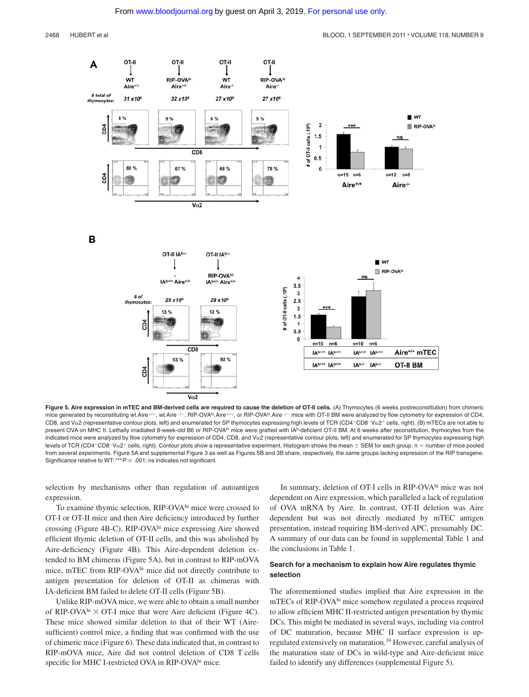

**Figure 5. Aire expression in mTEC and BM-derived cells are required to cause the deletion of OT-II cells.** (A) Thymocytes (6 weeks postreconstitution) from chimeric mice generated by reconstituting wt.Aire+/+, wt.Aire-/-, RIP-OVA<sup>hi</sup>.Aire+/+, or RIP-OVA<sup>hi</sup>.Aire-/- mice with OT-II BM were analyzed by flow cytometry for expression of CD4, CD8, and V $\alpha$ 2 (representative contour plots, left) and enumerated for SP thymocytes expressing high levels of TCR (CD4+CD8-V $\alpha$ 2+ cells, right). (B) mTECs are not able to present OVA on MHC II. Lethally irradiated 8-week-old B6 or RIP-OVA<sup>hi</sup> mice were grafted with IA<sup>b</sup>-deficient OT-II BM. At 6 weeks after reconstitution, thymocytes from the indicated mice were analyzed by flow cytometry for expression of CD4, CD8, and Vo2 (representative contour plots, left) and enumerated for SP thymocytes expressing high levels of TCR (CD4+CD8-Va2+ cells, right). Contour plots show a representative experiment. Histogram shows the mean  $\pm$  SEM for each group. n = number of mice pooled from several experiments. Figure 5A and supplemental Figure 3 as well as Figures 5B and 3B share, respectively, the same groups lacking expression of the RIP transgene. Significance relative to WT: \*\*\* $P \le 0.001$ ; ns indicates not significant.

selection by mechanisms other than regulation of autoantigen expression.

To examine thymic selection, RIP-OVAhi mice were crossed to OT-I or OT-II mice and then Aire deficiency introduced by further crossing (Figure 4B-C). RIP-OVAhi mice expressing Aire showed efficient thymic deletion of OT-II cells, and this was abolished by Aire-deficiency (Figure 4B). This Aire-dependent deletion extended to BM chimeras (Figure 5A), but in contrast to RIP-mOVA mice, mTEC from RIP-OVAhi mice did not directly contribute to antigen presentation for deletion of OT-II as chimeras with IA-deficient BM failed to delete OT-II cells (Figure 5B).

Unlike RIP-mOVA mice, we were able to obtain a small number of RIP-OVA $^{\text{hi}} \times$  OT-I mice that were Aire deficient (Figure 4C). These mice showed similar deletion to that of their WT (Airesufficient) control mice, a finding that was confirmed with the use of chimeric mice (Figure 6). These data indicated that, in contrast to RIP-mOVA mice, Aire did not control deletion of CD8 T cells specific for MHC I-restricted OVA in RIP-OVA<sup>hi</sup> mice.

In summary, deletion of OT-I cells in RIP-OVAhi mice was not dependent on Aire expression, which paralleled a lack of regulation of OVA mRNA by Aire. In contrast, OT-II deletion was Aire dependent but was not directly mediated by mTEC antigen presentation, instead requiring BM-derived APC, presumably DC. A summary of our data can be found in supplemental Table 1 and the conclusions in Table 1.

## **Search for a mechanism to explain how Aire regulates thymic selection**

The aforementioned studies implied that Aire expression in the mTECs of RIP-OVAhi mice somehow regulated a process required to allow efficient MHC II-restricted antigen presentation by thymic DCs. This might be mediated in several ways, including via control of DC maturation, because MHC II surface expression is upregulated extensively on maturation.<sup>39</sup> However, careful analysis of the maturation state of DCs in wild-type and Aire-deficient mice failed to identify any differences (supplemental Figure 5).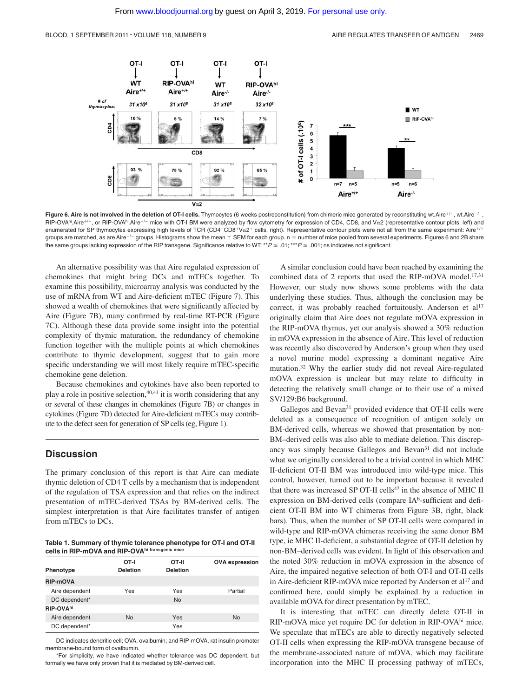

Figure 6. Aire is not involved in the deletion of OT-I cells. Thymocytes (6 weeks postreconstitution) from chimeric mice generated by reconstituting wt.Aire<sup>+/+</sup>, wt.Aire<sup>-/-</sup> RIP-OVAhi.Aire<sup>+/+</sup>, or RIP-OVA<sup>hi</sup>.Aire<sup>-/-</sup> mice with OT-I BM were analyzed by flow cytometry for expression of CD4, CD8, and V $\alpha$ 2 (representative contour plots, left) and enumerated for SP thymocytes expressing high levels of TCR (CD4-CD8+V $\alpha$ 2+ cells, right). Representative contour plots were not all from the same experiment: Aire+/+ groups are matched, as are Aire-/- groups. Histograms show the mean  $\pm$  SEM for each group. n = number of mice pooled from several experiments. Figures 6 and 2B share the same groups lacking expression of the RIP transgene. Significance relative to WT: \*\**P*  $\leq$  .01; \*\*\**P*  $\leq$  .001; ns indicates not significant.

An alternative possibility was that Aire regulated expression of chemokines that might bring DCs and mTECs together. To examine this possibility, microarray analysis was conducted by the use of mRNA from WT and Aire-deficient mTEC (Figure 7). This showed a wealth of chemokines that were significantly affected by Aire (Figure 7B), many confirmed by real-time RT-PCR (Figure 7C). Although these data provide some insight into the potential complexity of thymic maturation, the redundancy of chemokine function together with the multiple points at which chemokines contribute to thymic development, suggest that to gain more specific understanding we will most likely require mTEC-specific chemokine gene deletion.

Because chemokines and cytokines have also been reported to play a role in positive selection,<sup>40,41</sup> it is worth considering that any or several of these changes in chemokines (Figure 7B) or changes in cytokines (Figure 7D) detected for Aire-deficient mTECs may contribute to the defect seen for generation of SP cells (eg, Figure 1).

## **Discussion**

The primary conclusion of this report is that Aire can mediate thymic deletion of CD4 T cells by a mechanism that is independent of the regulation of TSA expression and that relies on the indirect presentation of mTEC-derived TSAs by BM-derived cells. The simplest interpretation is that Aire facilitates transfer of antigen from mTECs to DCs.

**Table 1. Summary of thymic tolerance phenotype for OT-I and OT-II cells in RIP-mOVA and RIP-OVAhi transgenic mice**

| Phenotype             | OT-I<br><b>Deletion</b> | OT-II<br><b>Deletion</b> | <b>OVA</b> expression |
|-----------------------|-------------------------|--------------------------|-----------------------|
|                       |                         |                          |                       |
| <b>RIP-mOVA</b>       |                         |                          |                       |
| Aire dependent        | Yes                     | Yes                      | Partial               |
| DC dependent*         |                         | <b>No</b>                |                       |
| RIP-OVA <sup>hi</sup> |                         |                          |                       |
| Aire dependent        | <b>No</b>               | Yes                      | <b>No</b>             |
| DC dependent*         |                         | Yes                      |                       |

DC indicates dendritic cell; OVA, ovalbumin; and RIP-mOVA, rat insulin promoter membrane-bound form of ovalbumin.

\*For simplicity, we have indicated whether tolerance was DC dependent, but formally we have only proven that it is mediated by BM-derived cell.

A similar conclusion could have been reached by examining the combined data of 2 reports that used the RIP-mOVA model.<sup>17,31</sup> However, our study now shows some problems with the data underlying these studies. Thus, although the conclusion may be correct, it was probably reached fortuitously. Anderson et al<sup>17</sup> originally claim that Aire does not regulate mOVA expression in the RIP-mOVA thymus, yet our analysis showed a 30% reduction in mOVA expression in the absence of Aire. This level of reduction was recently also discovered by Anderson's group when they used a novel murine model expressing a dominant negative Aire mutation.32 Why the earlier study did not reveal Aire-regulated mOVA expression is unclear but may relate to difficulty in detecting the relatively small change or to their use of a mixed SV/129:B6 background.

Gallegos and Bevan<sup>31</sup> provided evidence that OT-II cells were deleted as a consequence of recognition of antigen solely on BM-derived cells, whereas we showed that presentation by non-BM–derived cells was also able to mediate deletion. This discrepancy was simply because Gallegos and Bevan<sup>31</sup> did not include what we originally considered to be a trivial control in which MHC II-deficient OT-II BM was introduced into wild-type mice. This control, however, turned out to be important because it revealed that there was increased SP OT-II cells<sup>42</sup> in the absence of MHC II expression on BM-derived cells (compare IA<sup>b</sup>-sufficient and deficient OT-II BM into WT chimeras from Figure 3B, right, black bars). Thus, when the number of SP OT-II cells were compared in wild-type and RIP-mOVA chimeras receiving the same donor BM type, ie MHC II-deficient, a substantial degree of OT-II deletion by non-BM–derived cells was evident. In light of this observation and the noted 30% reduction in mOVA expression in the absence of Aire, the impaired negative selection of both OT-I and OT-II cells in Aire-deficient RIP-mOVA mice reported by Anderson et al<sup>17</sup> and confirmed here, could simply be explained by a reduction in available mOVA for direct presentation by mTEC.

It is interesting that mTEC can directly delete OT-II in RIP-mOVA mice yet require DC for deletion in RIP-OVA<sup>hi</sup> mice. We speculate that mTECs are able to directly negatively selected OT-II cells when expressing the RIP-mOVA transgene because of the membrane-associated nature of mOVA, which may facilitate incorporation into the MHC II processing pathway of mTECs,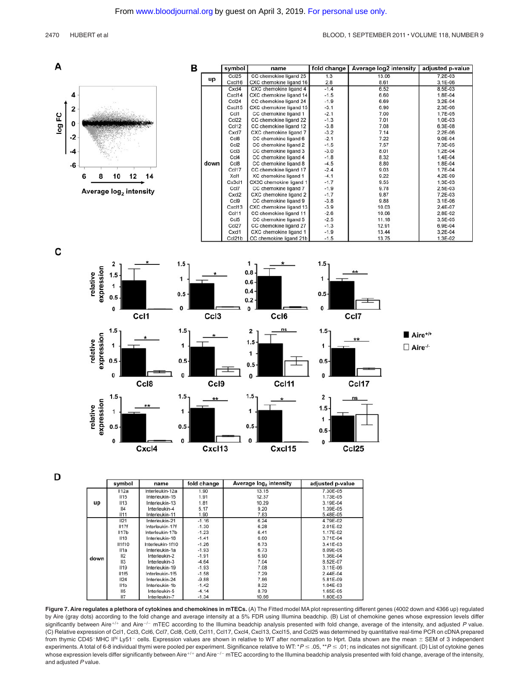



D

|      | symbol          | name             | fold change | Average log <sub>2</sub> intensity | adjusted p-value |
|------|-----------------|------------------|-------------|------------------------------------|------------------|
| up   | II12a           | Interleukin-12a  | 1.90        | 13.15                              | 7.30E-05         |
|      | II15            | Interleukin-15   | 1.91        | 12.37                              | 1.73E-05         |
|      | II13            | Interleukin-13   | 1.81        | 10.29                              | 3.19E-04         |
|      | 4               | Interleukin-4    | 5.17        | 9.20                               | 1.39E-05         |
|      | II11            | Interleukin-11   | 1.90        | 7.83                               | 5.48E-05         |
| down | II21            | Interleukin-21   | $-1.16$     | 6.24                               | 4.79E-02         |
|      | II17f           | Interleukin-17f  | $-1.30$     | 6.28                               | 2.01E-02         |
|      | II17b           | Interleukin-17b  | $-1.23$     | 6.41                               | 1.17E-02         |
|      | II18            | Interleukin-18   | $-1.41$     | 6.60                               | 3.71E-04         |
|      | <b>II1f10</b>   | Interleukin-1f10 | $-1.26$     | 6.73                               | 3.41E-03         |
|      | II1a            | Interleukin-1a   | $-1.93$     | 6.73                               | 8.09E-05         |
|      | II2             | Interleukin-2    | $-1.91$     | 6.90                               | 1.36E-04         |
|      | II3             | Interleukin-3    | $-4.64$     | 7.04                               | 8.52E-07         |
|      | II19            | Interleukin-19   | $-1.93$     | 7.08                               | 3.11E-06         |
|      | II1f5           | Interleukin-1f5  | $-1.58$     | 7.29                               | $2.44E - 04$     |
|      | II24            | Interleukin-24   | $-9.88$     | 7.86                               | 5.81E-09         |
|      | II1b            | Interleukin-1b   | $-1.42$     | 8.22                               | 1.04E-03         |
|      | II <sub>5</sub> | Interleukin-5    | $-4.14$     | 8.79                               | 1.65E-05         |
|      | 117             | lationaling 7    | A, C, F     | 10.00                              | $4$ ONE 02       |

**Figure 7. Aire regulates a plethora of cytokines and chemokines in mTECs.** (A) The Fitted model MA plot representing different genes (4002 down and 4366 up) regulated by Aire (gray dots) according to the fold change and average intensity at a 5% FDR using Illumina beadchip. (B) List of chemokine genes whose expression levels differ significantly between Aire<sup>+/+</sup> and Aire<sup>-/-</sup> mTEC according to the Illumina beadchip analysis presented with fold change, average of the intensity, and adjusted P value. (C) Relative expression of Ccl1, Ccl3, Ccl6, Ccl7, Ccl8, Ccl9, Ccl11, Ccl17, Cxcl4, Cxcl13, Cxcl15, and Ccl25 was determined by quantitative real-time PCR on cDNA prepared from thymic CD45-MHC II<sup>hi</sup> Ly51-cells. Expression values are shown in relative to WT after normalization to Hprt. Data shown are the mean  $\pm$  SEM of 3 independent experiments. A total of 6-8 individual thymi were pooled per experiment. Significance relative to WT: \* $P \leq .05$ , \*\* $P \leq .01$ ; ns indicates not significant. (D) List of cytokine genes whose expression levels differ significantly between Aire+/+ and Aire-/- mTEC according to the Illumina beadchip analysis presented with fold change, average of the intensity, and adjusted *P* value.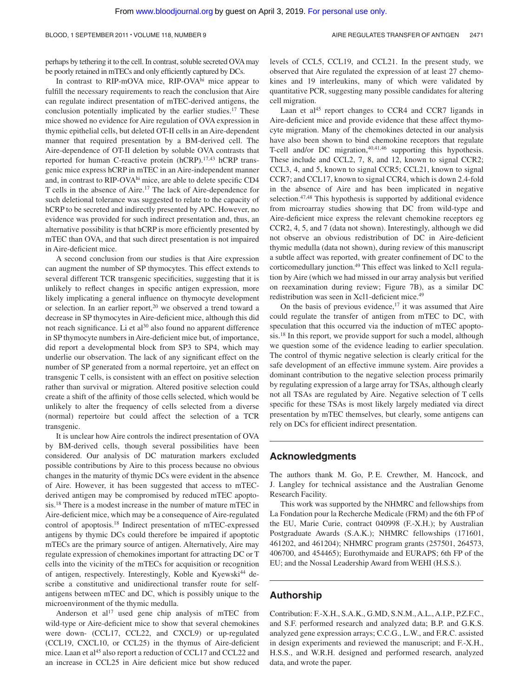perhaps by tethering it to the cell. In contrast, soluble secreted OVAmay be poorly retained in mTECs and only efficiently captured by DCs.

In contrast to RIP-mOVA mice, RIP-OVA<sup>hi</sup> mice appear to fulfill the necessary requirements to reach the conclusion that Aire can regulate indirect presentation of mTEC-derived antigens, the conclusion potentially implicated by the earlier studies.17 These mice showed no evidence for Aire regulation of OVA expression in thymic epithelial cells, but deleted OT-II cells in an Aire-dependent manner that required presentation by a BM-derived cell. The Aire-dependence of OT-II deletion by soluble OVA contrasts that reported for human C-reactive protein (hCRP).<sup>17,43</sup> hCRP transgenic mice express hCRP in mTEC in an Aire-independent manner and, in contrast to RIP-OVAhi mice, are able to delete specific CD4 T cells in the absence of Aire.17 The lack of Aire-dependence for such deletional tolerance was suggested to relate to the capacity of hCRP to be secreted and indirectly presented by APC. However, no evidence was provided for such indirect presentation and, thus, an alternative possibility is that hCRP is more efficiently presented by mTEC than OVA, and that such direct presentation is not impaired in Aire-deficient mice.

A second conclusion from our studies is that Aire expression can augment the number of SP thymocytes. This effect extends to several different TCR transgenic specificities, suggesting that it is unlikely to reflect changes in specific antigen expression, more likely implicating a general influence on thymocyte development or selection. In an earlier report, $20$  we observed a trend toward a decrease in SP thymocytes in Aire-deficient mice, although this did not reach significance. Li et  $al^{30}$  also found no apparent difference in SP thymocyte numbers in Aire-deficient mice but, of importance, did report a developmental block from SP3 to SP4, which may underlie our observation. The lack of any significant effect on the number of SP generated from a normal repertoire, yet an effect on transgenic T cells, is consistent with an effect on positive selection rather than survival or migration. Altered positive selection could create a shift of the affinity of those cells selected, which would be unlikely to alter the frequency of cells selected from a diverse (normal) repertoire but could affect the selection of a TCR transgenic.

It is unclear how Aire controls the indirect presentation of OVA by BM-derived cells, though several possibilities have been considered. Our analysis of DC maturation markers excluded possible contributions by Aire to this process because no obvious changes in the maturity of thymic DCs were evident in the absence of Aire. However, it has been suggested that access to mTECderived antigen may be compromised by reduced mTEC apoptosis.18 There is a modest increase in the number of mature mTEC in Aire-deficient mice, which may be a consequence of Aire-regulated control of apoptosis.18 Indirect presentation of mTEC-expressed antigens by thymic DCs could therefore be impaired if apoptotic mTECs are the primary source of antigen. Alternatively, Aire may regulate expression of chemokines important for attracting DC or T cells into the vicinity of the mTECs for acquisition or recognition of antigen, respectively. Interestingly, Koble and Kyewski<sup>44</sup> describe a constitutive and unidirectional transfer route for selfantigens between mTEC and DC, which is possibly unique to the microenvironment of the thymic medulla.

Anderson et al<sup>17</sup> used gene chip analysis of mTEC from wild-type or Aire-deficient mice to show that several chemokines were down- (CCL17, CCL22, and CXCL9) or up-regulated (CCL19, CXCL10, or CCL25) in the thymus of Aire-deficient mice. Laan et al<sup>45</sup> also report a reduction of CCL17 and CCL22 and an increase in CCL25 in Aire deficient mice but show reduced levels of CCL5, CCL19, and CCL21. In the present study, we observed that Aire regulated the expression of at least 27 chemokines and 19 interleukins, many of which were validated by quantitative PCR, suggesting many possible candidates for altering cell migration.

Laan et al<sup>45</sup> report changes to CCR4 and CCR7 ligands in Aire-deficient mice and provide evidence that these affect thymocyte migration. Many of the chemokines detected in our analysis have also been shown to bind chemokine receptors that regulate T-cell and/or DC migration,<sup>40,41,46</sup> supporting this hypothesis. These include and CCL2, 7, 8, and 12, known to signal CCR2; CCL3, 4, and 5, known to signal CCR5; CCL21, known to signal CCR7; and CCL17, known to signal CCR4, which is down 2.4-fold in the absence of Aire and has been implicated in negative selection.<sup>47,48</sup> This hypothesis is supported by additional evidence from microarray studies showing that DC from wild-type and Aire-deficient mice express the relevant chemokine receptors eg CCR2, 4, 5, and 7 (data not shown). Interestingly, although we did not observe an obvious redistribution of DC in Aire-deficient thymic medulla (data not shown), during review of this manuscript a subtle affect was reported, with greater confinement of DC to the corticomedullary junction.<sup>49</sup> This effect was linked to Xcl1 regulation by Aire (which we had missed in our array analysis but verified on reexamination during review; Figure 7B), as a similar DC redistribution was seen in Xcl1-deficient mice.<sup>49</sup>

On the basis of previous evidence, $17$  it was assumed that Aire could regulate the transfer of antigen from mTEC to DC, with speculation that this occurred via the induction of mTEC apoptosis.18 In this report, we provide support for such a model, although we question some of the evidence leading to earlier speculation. The control of thymic negative selection is clearly critical for the safe development of an effective immune system. Aire provides a dominant contribution to the negative selection process primarily by regulating expression of a large array for TSAs, although clearly not all TSAs are regulated by Aire. Negative selection of T cells specific for these TSAs is most likely largely mediated via direct presentation by mTEC themselves, but clearly, some antigens can rely on DCs for efficient indirect presentation.

## **Acknowledgments**

The authors thank M. Go, P. E. Crewther, M. Hancock, and J. Langley for technical assistance and the Australian Genome Research Facility.

This work was supported by the NHMRC and fellowships from La Fondation pour la Recherche Medicale (FRM) and the 6th FP of the EU, Marie Curie, contract 040998 (F.-X.H.); by Australian Postgraduate Awards (S.A.K.); NHMRC fellowships (171601, 461202, and 461204); NHMRC program grants (257501, 264573, 406700, and 454465); Eurothymaide and EURAPS; 6th FP of the EU; and the Nossal Leadership Award from WEHI (H.S.S.).

## **Authorship**

Contribution: F.-X.H., S.A.K., G.MD, S.N.M., A.L., A.I.P., P.Z.F.C., and S.F. performed research and analyzed data; B.P. and G.K.S. analyzed gene expression arrays; C.C.G., L.W., and F.R.C. assisted in design experiments and reviewed the manuscript; and F.-X.H., H.S.S., and W.R.H. designed and performed research, analyzed data, and wrote the paper.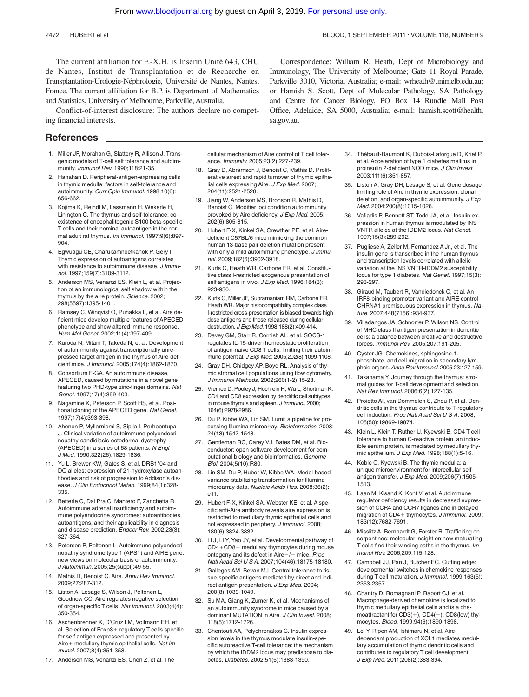The current affiliation for F.-X.H. is Inserm Unité 643, CHU de Nantes, Institut de Transplantation et de Recherche en Transplantation-Urologie-Néphrologie, Université de Nantes, Nantes, France. The current affiliation for B.P. is Department of Mathematics and Statistics, University of Melbourne, Parkville, Australia.

Conflict-of-interest disclosure: The authors declare no competing financial interests.

## **References**

- 1. Miller JF, Morahan G, Slattery R, Allison J. Transgenic models of T-cell self tolerance and autoimmunity. *Immunol Rev.* 1990;118:21-35.
- 2. Hanahan D. Peripheral-antigen-expressing cells in thymic medulla: factors in self-tolerance and autoimmunity. *Curr Opin Immunol.* 1998;10(6): 656-662.
- 3. Kojima K, Reindl M, Lassmann H, Wekerle H, Linington C. The thymus and self-tolerance: coexistence of encephalitogenic S100 beta-specific T cells and their nominal autoantigen in the normal adult rat thymus. *Int Immunol.* 1997;9(6):897- 904.
- 4. Egwuagu CE, Charukamnoetkanok P, Gery I. Thymic expression of autoantigens correlates with resistance to autoimmune disease. *J Immunol.* 1997;159(7):3109-3112.
- 5. Anderson MS, Venanzi ES, Klein L, et al. Projection of an immunological self shadow within the thymus by the aire protein. *Science.* 2002; 298(5597):1395-1401.
- 6. Ramsey C, Winqvist O, Puhakka L, et al. Aire deficient mice develop multiple features of APECED phenotype and show altered immune response. *Hum Mol Genet.* 2002;11(4):397-409.
- 7. Kuroda N, Mitani T, Takeda N, et al. Development of autoimmunity against transcriptionally unrepressed target antigen in the thymus of Aire-deficient mice. *J Immunol.* 2005;174(4):1862-1870.
- 8. Consortium F-GA. An autoimmune disease, APECED, caused by mutations in a novel gene featuring two PHD-type zinc-finger domains. *Nat Genet.* 1997;17(4):399-403.
- 9. Nagamine K, Peterson P, Scott HS, et al. Positional cloning of the APECED gene. *Nat Genet.* 1997;17(4):393-398.
- 10. Ahonen P, Myllarniemi S, Sipila I, Perheentupa J. Clinical variation of autoimmune polyendocrinopathy-candidiasis-ectodermal dystrophy (APECED) in a series of 68 patients. *N Engl J Med.* 1990;322(26):1829-1836.
- 11. Yu L, Brewer KW, Gates S, et al*.* DRB1\*04 and DQ alleles: expression of 21-hydroxylase autoantibodies and risk of progression to Addison's disease. *J Clin Endocrinol Metab.* 1999;84(1):328- 335.
- 12. Betterle C, Dal Pra C, Mantero F, Zanchetta R. Autoimmune adrenal insufficiency and autoimmune polyendocrine syndromes: autoantibodies, autoantigens, and their applicability in diagnosis and disease prediction. *Endocr Rev.* 2002;23(3): 327-364.
- 13. Peterson P, Peltonen L. Autoimmune polyendocrinopathy syndrome type 1 (APS1) and AIRE gene: new views on molecular basis of autoimmunity. *J Autoimmun.* 2005;25(suppl):49-55.
- 14. Mathis D, Benoist C. Aire. *Annu Rev Immunol.* 2009;27:287-312.
- 15. Liston A, Lesage S, Wilson J, Peltonen L, Goodnow CC. Aire regulates negative selection of organ-specific T cells. *Nat Immunol.* 2003;4(4): 350-354.
- 16. Aschenbrenner K, D'Cruz LM, Vollmann EH, et al. Selection of Foxp3+ regulatory T cells specific for self antigen expressed and presented by Aire medullary thymic epithelial cells. *Nat Immunol.* 2007;8(4):351-358.
- 17. Anderson MS, Venanzi ES, Chen Z, et al. The

cellular mechanism of Aire control of T cell tolerance. *Immunity.* 2005;23(2):227-239.

- 18. Gray D, Abramson J, Benoist C, Mathis D. Proliferative arrest and rapid turnover of thymic epithelial cells expressing Aire. *J Exp Med.* 2007; 204(11):2521-2528.
- 19. Jiang W, Anderson MS, Bronson R, Mathis D, Benoist C. Modifier loci condition autoimmunity provoked by Aire deficiency. *J Exp Med.* 2005; 202(6):805-815.
- 20. Hubert F-X, Kinkel SA, Crewther PE, et al. Airedeficient C57BL/6 mice mimicking the common human 13-base pair deletion mutation present with only a mild autoimmune phenotype. *J Immunol.* 2009;182(6):3902-3918.
- 21. Kurts C, Heath WR, Carbone FR, et al. Constitutive class I-restricted exogenous presentation of self antigens in vivo. *J Exp Med.* 1996;184(3): 923-930.
- 22. Kurts C, Miller JF, Subramaniam RM, Carbone FR, Heath WR. Major histocompatibility complex class I-restricted cross-presentation is biased towards high dose antigens and those released during cellular destruction. *J Exp Med.* 1998;188(2):409-414.
- 23. Davey GM, Starr R, Cornish AL, et al. SOCS-1 regulates IL-15-driven homeostatic proliferation of antigen-naive CD8 T cells, limiting their autoimmune potential. *J Exp Med.* 2005;202(8):1099-1108.
- 24. Gray DH, Chidgey AP, Boyd RL. Analysis of thymic stromal cell populations using flow cytometry. *J Immunol Methods.* 2002;260(1-2):15-28.
- 25. Vremec D, Pooley J, Hochrein H, Wu L, Shortman K. CD4 and CD8 expression by dendritic cell subtypes in mouse thymus and spleen. *J Immunol.* 2000; 164(6):2978-2986.
- 26. Du P, Kibbe WA, Lin SM. Lumi: a pipeline for processing Illumina microarray. *Bioinformatics.* 2008; 24(13):1547-1548.
- 27. Gentleman RC, Carey VJ, Bates DM, et al. Bioconductor: open software development for computational biology and bioinformatics. *Genome Biol.* 2004;5(10):R80.
- 28. Lin SM, Du P, Huber W, Kibbe WA. Model-based variance-stabilizing transformation for Illumina microarray data. *Nucleic Acids Res.* 2008;36(2): e11.
- 29. Hubert F-X, Kinkel SA, Webster KE, et al. A specific anti-Aire antibody reveals aire expression is restricted to medullary thymic epithelial cells and not expressed in periphery. *J Immunol.* 2008; 180(6):3824-3832.
- 30. Li J, Li Y, Yao JY, et al. Developmental pathway of CD4+CD8- medullary thymocytes during mouse ontogeny and its defect in Aire-/- mice. Proc *Natl Acad Sci U S A.* 2007;104(46):18175-18180.
- 31. Gallegos AM, Bevan MJ. Central tolerance to tissue-specific antigens mediated by direct and indirect antigen presentation. *J Exp Med.* 2004; 200(8):1039-1049.
- 32. Su MA, Giang K, Zumer K, et al. Mechanisms of an autoimmunity syndrome in mice caused by a dominant MUTATION in Aire. *J Clin Invest.* 2008; 118(5):1712-1726.
- 33. Chentoufi AA, Polychronakos C. Insulin expression levels in the thymus modulate insulin-specific autoreactive T-cell tolerance: the mechanism by which the IDDM2 locus may predispose to diabetes. *Diabetes.* 2002;51(5):1383-1390.

Correspondence: William R. Heath, Dept of Microbiology and Immunology, The University of Melbourne; Gate 11 Royal Parade, Parkville 3010, Victoria, Australia; e-mail: wrheath@unimelb.edu.au; or Hamish S. Scott, Dept of Molecular Pathology, SA Pathology and Centre for Cancer Biology, PO Box 14 Rundle Mall Post Office, Adelaide, SA 5000, Australia; e-mail: hamish.scott@health. sa.gov.au.

- 34. Thébault-Baumont K, Dubois-Laforgue D, Krief P, et al. Acceleration of type 1 diabetes mellitus in proinsulin 2-deficient NOD mice. *J Clin Invest.* 2003;111(6):851-857.
- 35. Liston A, Gray DH, Lesage S, et al. Gene dosage– limiting role of Aire in thymic expression, clonal deletion, and organ-specific autoimmunity. *J Exp Med.* 2004;200(8):1015-1026.
- 36. Vafiadis P, Bennett ST, Todd JA, et al*.* Insulin expression in human thymus is modulated by INS VNTR alleles at the IDDM2 locus. *Nat Genet.* 1997;15(3):289-292.
- 37. Pugliese A, Zeller M, Fernandez A Jr., et al. The insulin gene is transcribed in the human thymus and transcription levels correlated with allelic variation at the INS VNTR-IDDM2 susceptibility locus for type 1 diabetes. *Nat Genet.* 1997;15(3): 293-297.
- 38. Giraud M, Taubert R, Vandiedonck C, et al. An IRF8-binding promoter variant and AIRE control CHRNA1 promiscuous expression in thymus. *Nature.* 2007;448(7156):934-937.
- 39. Villadangos JA, Schnorrer P, Wilson NS. Control of MHC class II antigen presentation in dendritic cells: a balance between creative and destructive forces. *Immunol Rev.* 2005;207:191-205.
- 40. Cyster JG. Chemokines, sphingosine-1 phosphate, and cell migration in secondary lymphoid organs. *Annu Rev Immunol.* 2005;23:127-159.
- 41. Takahama Y. Journey through the thymus: stromal guides for T-cell development and selection. *Nat Rev Immunol.* 2006;6(2):127-135.
- 42. Proietto AI, van Dommelen S, Zhou P, et al. Dendritic cells in the thymus contribute to T-regulatory cell induction. *Proc Natl Acad Sci U S A.* 2008; 105(50):19869-19874.
- 43. Klein L, Klein T, Ruther U, Kyewski B. CD4 T cell tolerance to human C-reactive protein, an inducible serum protein, is mediated by medullary thymic epithelium. *J Exp Med.* 1998;188(1):5-16.
- 44. Koble C, Kyewski B. The thymic medulla: a unique microenvironment for intercellular selfantigen transfer. *J Exp Med.* 2009;206(7):1505- 1513.
- 45. Laan M, Kisand K, Kont V, et al. Autoimmune regulator deficiency results in decreased expression of CCR4 and CCR7 ligands and in delayed migration of CD4+ thymocytes. *J Immunol.* 2009; 183(12):7682-7691.
- 46. Misslitz A, Bernhardt G, Forster R. Trafficking on serpentines: molecular insight on how maturating T cells find their winding paths in the thymus. *Immunol Rev.* 2006;209:115-128.
- 47. Campbell JJ, Pan J, Butcher EC. Cutting edge: developmental switches in chemokine responses during T cell maturation. *J Immunol.* 1999;163(5): 2353-2357.
- 48. Chantry D, Romagnani P, Raport CJ, et al. Macrophage-derived chemokine is localized to thymic medullary epithelial cells and is a chemoattractant for  $CD3(+)$ ,  $CD4(+)$ ,  $CD8$ (low) thymocytes. *Blood.* 1999;94(6):1890-1898.
	- Lei Y, Ripen AM, Ishimaru N, et al. Airedependent production of XCL1 mediates medullary accumulation of thymic dendritic cells and contributes to regulatory T cell development. *J Exp Med.* 2011;208(2):383-394.